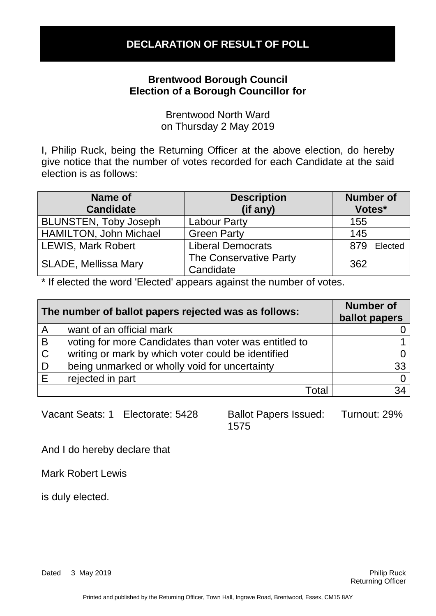## **Brentwood Borough Council Election of a Borough Councillor for**

Brentwood North Ward on Thursday 2 May 2019

I, Philip Ruck, being the Returning Officer at the above election, do hereby give notice that the number of votes recorded for each Candidate at the said election is as follows:

| Name of<br><b>Candidate</b>   | <b>Description</b><br>(if any)      | <b>Number of</b><br>Votes* |
|-------------------------------|-------------------------------------|----------------------------|
| <b>BLUNSTEN, Toby Joseph</b>  | <b>Labour Party</b>                 | 155                        |
| <b>HAMILTON, John Michael</b> | <b>Green Party</b>                  | 145                        |
| <b>LEWIS, Mark Robert</b>     | <b>Liberal Democrats</b>            | 879<br>Elected             |
| <b>SLADE, Mellissa Mary</b>   | The Conservative Party<br>Candidate | 362                        |

\* If elected the word 'Elected' appears against the number of votes.

| The number of ballot papers rejected was as follows: |                                                       | <b>Number of</b><br>ballot papers |
|------------------------------------------------------|-------------------------------------------------------|-----------------------------------|
| A                                                    | want of an official mark                              |                                   |
| B                                                    | voting for more Candidates than voter was entitled to |                                   |
| $\mathsf{C}$                                         | writing or mark by which voter could be identified    |                                   |
| . D                                                  | being unmarked or wholly void for uncertainty         | 33                                |
| E                                                    | rejected in part                                      |                                   |
|                                                      | Total                                                 | 34                                |

Vacant Seats: 1 Electorate: 5428 Ballot Papers Issued:

1575 Turnout: 29%

And I do hereby declare that

Mark Robert Lewis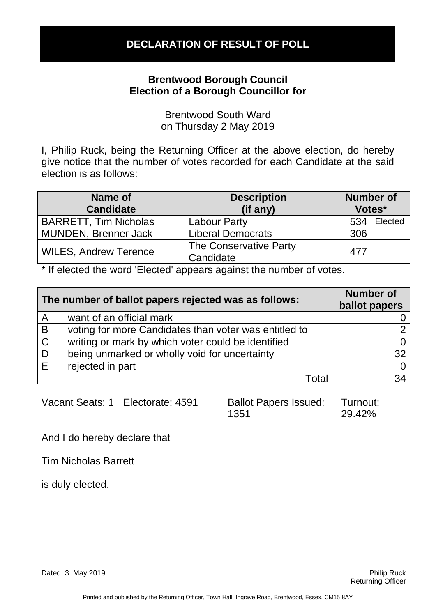### **Brentwood Borough Council Election of a Borough Councillor for**

Brentwood South Ward on Thursday 2 May 2019

I, Philip Ruck, being the Returning Officer at the above election, do hereby give notice that the number of votes recorded for each Candidate at the said election is as follows:

| Name of<br><b>Candidate</b>  | <b>Description</b><br>(if any)      | <b>Number of</b><br>Votes* |
|------------------------------|-------------------------------------|----------------------------|
| <b>BARRETT, Tim Nicholas</b> | <b>Labour Party</b>                 | Elected<br>534             |
| <b>MUNDEN, Brenner Jack</b>  | <b>Liberal Democrats</b>            | 306                        |
| <b>WILES, Andrew Terence</b> | The Conservative Party<br>Candidate | 477                        |

\* If elected the word 'Elected' appears against the number of votes.

| The number of ballot papers rejected was as follows: |                                                       | <b>Number of</b><br>ballot papers |
|------------------------------------------------------|-------------------------------------------------------|-----------------------------------|
| $\mathsf{A}$                                         | want of an official mark                              |                                   |
| B                                                    | voting for more Candidates than voter was entitled to |                                   |
| $\mathsf{C}$                                         | writing or mark by which voter could be identified    |                                   |
| D                                                    | being unmarked or wholly void for uncertainty         | 32                                |
| Е                                                    | rejected in part                                      |                                   |
|                                                      | Total                                                 | 34                                |

Vacant Seats: 1 Electorate: 4591 Ballot Papers Issued:

1351 Turnout: 29.42%

And I do hereby declare that

Tim Nicholas Barrett

is duly elected.

Dated 3 May 2019 **Philip Ruck Philip Ruck Philip Ruck Philip Ruck Philip Ruck**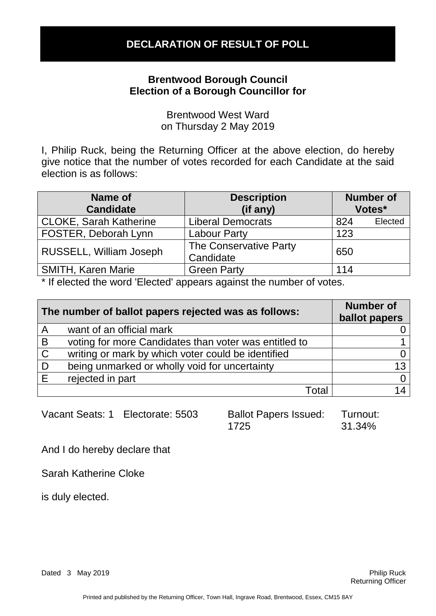### **Brentwood Borough Council Election of a Borough Councillor for**

Brentwood West Ward on Thursday 2 May 2019

I, Philip Ruck, being the Returning Officer at the above election, do hereby give notice that the number of votes recorded for each Candidate at the said election is as follows:

| Name of<br><b>Candidate</b>   | <b>Description</b><br>(if any)      | <b>Number of</b> | Votes*  |
|-------------------------------|-------------------------------------|------------------|---------|
| <b>CLOKE, Sarah Katherine</b> | <b>Liberal Democrats</b>            | 824              | Elected |
| FOSTER, Deborah Lynn          | <b>Labour Party</b>                 | 123              |         |
| RUSSELL, William Joseph       | The Conservative Party<br>Candidate | 650              |         |
| <b>SMITH, Karen Marie</b>     | <b>Green Party</b>                  | 114              |         |

\* If elected the word 'Elected' appears against the number of votes.

| The number of ballot papers rejected was as follows: |                                                       | <b>Number of</b><br>ballot papers |
|------------------------------------------------------|-------------------------------------------------------|-----------------------------------|
| $\mathsf{A}$                                         | want of an official mark                              |                                   |
| $\overline{B}$                                       | voting for more Candidates than voter was entitled to |                                   |
| $\overline{C}$                                       | writing or mark by which voter could be identified    |                                   |
| D                                                    | being unmarked or wholly void for uncertainty         | 13                                |
| E                                                    | rejected in part                                      |                                   |
|                                                      | Total                                                 |                                   |

| Vacant Seats: 1 | Electorate: 5503 |
|-----------------|------------------|
|-----------------|------------------|

Ballot Papers Issued: 1725 Turnout: 31.34%

And I do hereby declare that

Sarah Katherine Cloke

is duly elected.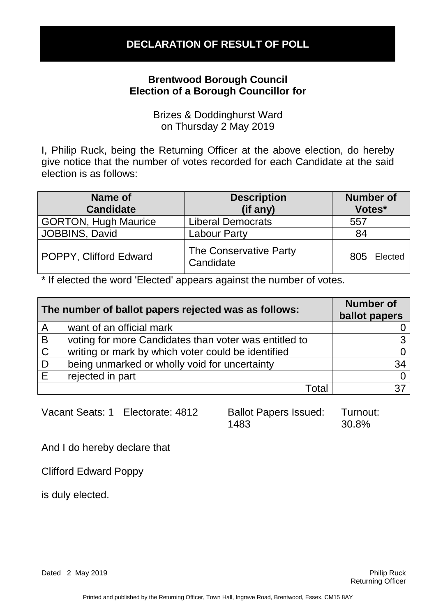## **Brentwood Borough Council Election of a Borough Councillor for**

Brizes & Doddinghurst Ward on Thursday 2 May 2019

I, Philip Ruck, being the Returning Officer at the above election, do hereby give notice that the number of votes recorded for each Candidate at the said election is as follows:

| Name of<br><b>Candidate</b> | <b>Description</b><br>(if any)      | <b>Number of</b><br>Votes* |
|-----------------------------|-------------------------------------|----------------------------|
| <b>GORTON, Hugh Maurice</b> | <b>Liberal Democrats</b>            | 557                        |
| JOBBINS, David              | <b>Labour Party</b>                 | 84                         |
| POPPY, Clifford Edward      | The Conservative Party<br>Candidate | 805<br>Elected             |

\* If elected the word 'Elected' appears against the number of votes.

| The number of ballot papers rejected was as follows: |                                                       | <b>Number of</b><br>ballot papers |
|------------------------------------------------------|-------------------------------------------------------|-----------------------------------|
| A                                                    | want of an official mark                              |                                   |
| B                                                    | voting for more Candidates than voter was entitled to |                                   |
| $\mathsf{C}$                                         | writing or mark by which voter could be identified    |                                   |
| . D                                                  | being unmarked or wholly void for uncertainty         | 34                                |
| E                                                    | rejected in part                                      |                                   |
|                                                      | Total                                                 |                                   |

Vacant Seats: 1 Electorate: 4812 Ballot Papers Issued:

1483 Turnout: 30.8%

And I do hereby declare that

Clifford Edward Poppy

is duly elected.

Dated 2 May 2019 **Philip Ruck** 2 May 2019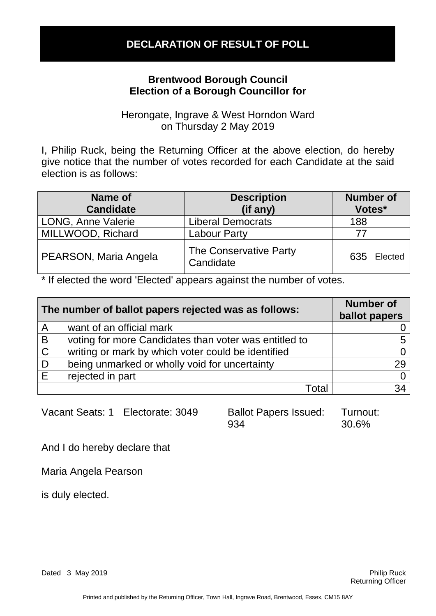#### **Brentwood Borough Council Election of a Borough Councillor for**

Herongate, Ingrave & West Horndon Ward on Thursday 2 May 2019

I, Philip Ruck, being the Returning Officer at the above election, do hereby give notice that the number of votes recorded for each Candidate at the said election is as follows:

| Name of<br><b>Candidate</b> | <b>Description</b><br>(if any)      | <b>Number of</b><br>Votes* |
|-----------------------------|-------------------------------------|----------------------------|
| LONG, Anne Valerie          | <b>Liberal Democrats</b>            | 188                        |
| MILLWOOD, Richard           | <b>Labour Party</b>                 |                            |
| PEARSON, Maria Angela       | The Conservative Party<br>Candidate | 635 Elected                |

\* If elected the word 'Elected' appears against the number of votes.

| The number of ballot papers rejected was as follows: |                                                       | <b>Number of</b><br>ballot papers |
|------------------------------------------------------|-------------------------------------------------------|-----------------------------------|
| A                                                    | want of an official mark                              |                                   |
| $\overline{B}$                                       | voting for more Candidates than voter was entitled to |                                   |
| $\mathsf{C}$                                         | writing or mark by which voter could be identified    |                                   |
| D                                                    | being unmarked or wholly void for uncertainty         | 29                                |
| E                                                    | rejected in part                                      |                                   |
|                                                      | Total                                                 | 34                                |

Vacant Seats: 1 Electorate: 3049 Ballot Papers Issued:

934 Turnout: 30.6%

And I do hereby declare that

Maria Angela Pearson

is duly elected.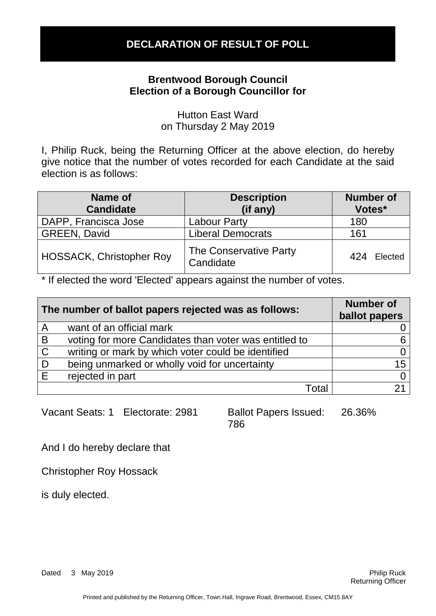### **Brentwood Borough Council Election of a Borough Councillor for**

Hutton East Ward on Thursday 2 May 2019

I, Philip Ruck, being the Returning Officer at the above election, do hereby give notice that the number of votes recorded for each Candidate at the said election is as follows:

| Name of<br><b>Candidate</b>     | <b>Description</b><br>(if any)      | <b>Number of</b><br>Votes* |
|---------------------------------|-------------------------------------|----------------------------|
| DAPP, Francisca Jose            | <b>Labour Party</b>                 | 180                        |
| <b>GREEN, David</b>             | <b>Liberal Democrats</b>            | 161                        |
| <b>HOSSACK, Christopher Roy</b> | The Conservative Party<br>Candidate | 424<br>Elected             |

\* If elected the word 'Elected' appears against the number of votes.

| The number of ballot papers rejected was as follows: |                                                       | <b>Number of</b><br>ballot papers |
|------------------------------------------------------|-------------------------------------------------------|-----------------------------------|
| A                                                    | want of an official mark                              |                                   |
| B                                                    | voting for more Candidates than voter was entitled to |                                   |
| $\mathsf{C}$                                         | writing or mark by which voter could be identified    |                                   |
| D                                                    | being unmarked or wholly void for uncertainty         | 15                                |
| E                                                    | rejected in part                                      |                                   |
|                                                      | Total                                                 |                                   |

Vacant Seats: 1 Electorate: 2981 Ballot Papers Issued:

786 26.36%

And I do hereby declare that

Christopher Roy Hossack

is duly elected.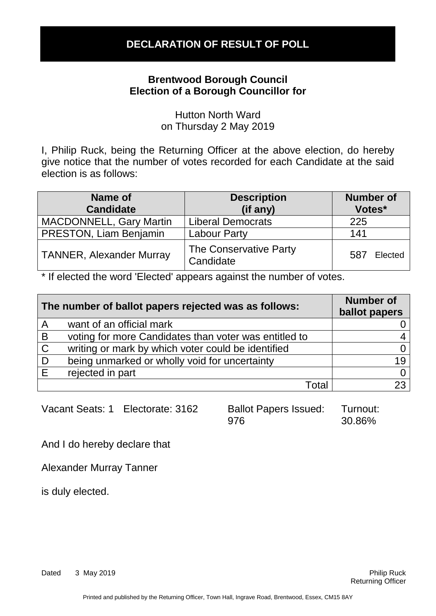#### **Brentwood Borough Council Election of a Borough Councillor for**

Hutton North Ward on Thursday 2 May 2019

I, Philip Ruck, being the Returning Officer at the above election, do hereby give notice that the number of votes recorded for each Candidate at the said election is as follows:

| Name of<br><b>Candidate</b>     | <b>Description</b><br>(if any)      | <b>Number of</b><br>Votes* |
|---------------------------------|-------------------------------------|----------------------------|
| <b>MACDONNELL, Gary Martin</b>  | <b>Liberal Democrats</b>            | 225                        |
| <b>PRESTON, Liam Benjamin</b>   | <b>Labour Party</b>                 | 141                        |
| <b>TANNER, Alexander Murray</b> | The Conservative Party<br>Candidate | 587<br>Elected             |

\* If elected the word 'Elected' appears against the number of votes.

| The number of ballot papers rejected was as follows: |                                                       | <b>Number of</b><br>ballot papers |
|------------------------------------------------------|-------------------------------------------------------|-----------------------------------|
| A                                                    | want of an official mark                              |                                   |
| B                                                    | voting for more Candidates than voter was entitled to |                                   |
| $\mathsf C$                                          | writing or mark by which voter could be identified    |                                   |
| D                                                    | being unmarked or wholly void for uncertainty         | 19                                |
| E                                                    | rejected in part                                      |                                   |
|                                                      | Total                                                 |                                   |

Vacant Seats: 1 Electorate: 3162 Ballot Papers Issued:

976 Turnout: 30.86%

And I do hereby declare that

Alexander Murray Tanner

is duly elected.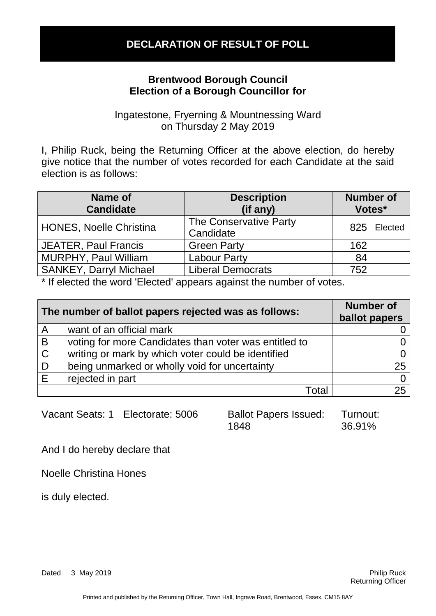### **Brentwood Borough Council Election of a Borough Councillor for**

Ingatestone, Fryerning & Mountnessing Ward on Thursday 2 May 2019

I, Philip Ruck, being the Returning Officer at the above election, do hereby give notice that the number of votes recorded for each Candidate at the said election is as follows:

| Name of<br><b>Candidate</b>    | <b>Description</b><br>(if any)      | <b>Number of</b><br>Votes* |
|--------------------------------|-------------------------------------|----------------------------|
| <b>HONES, Noelle Christina</b> | The Conservative Party<br>Candidate | 825 Elected                |
| <b>JEATER, Paul Francis</b>    | <b>Green Party</b>                  | 162                        |
| <b>MURPHY, Paul William</b>    | <b>Labour Party</b>                 | -84                        |
| <b>SANKEY, Darryl Michael</b>  | <b>Liberal Democrats</b>            | 752                        |

\* If elected the word 'Elected' appears against the number of votes.

| The number of ballot papers rejected was as follows: |                                                       | <b>Number of</b><br>ballot papers |
|------------------------------------------------------|-------------------------------------------------------|-----------------------------------|
| A                                                    | want of an official mark                              |                                   |
| B                                                    | voting for more Candidates than voter was entitled to |                                   |
| $\mathsf{C}$                                         | writing or mark by which voter could be identified    |                                   |
| D                                                    | being unmarked or wholly void for uncertainty         | 25                                |
| E                                                    | rejected in part                                      |                                   |
|                                                      | Total                                                 | 25                                |

| Vacant Seats: 1 | Electorate: 5006 |
|-----------------|------------------|
|-----------------|------------------|

Ballot Papers Issued: 1848 Turnout: 36.91%

And I do hereby declare that

Noelle Christina Hones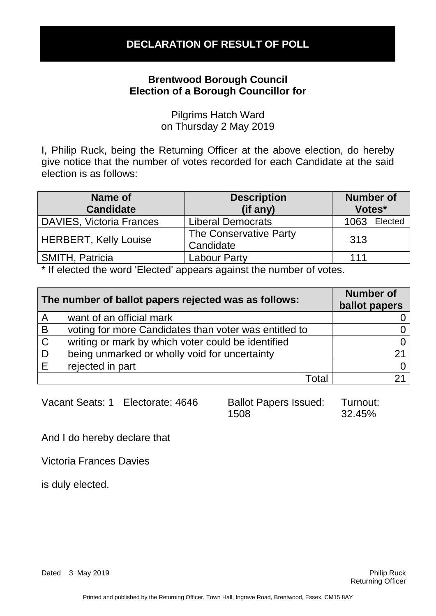### **Brentwood Borough Council Election of a Borough Councillor for**

Pilgrims Hatch Ward on Thursday 2 May 2019

I, Philip Ruck, being the Returning Officer at the above election, do hereby give notice that the number of votes recorded for each Candidate at the said election is as follows:

| Name of<br><b>Candidate</b>     | <b>Description</b><br>(if any)      | <b>Number of</b><br>Votes* |
|---------------------------------|-------------------------------------|----------------------------|
| <b>DAVIES, Victoria Frances</b> | <b>Liberal Democrats</b>            | Elected<br>1063            |
| <b>HERBERT, Kelly Louise</b>    | The Conservative Party<br>Candidate | 313                        |
| <b>SMITH, Patricia</b>          | <b>Labour Party</b>                 | 111                        |

\* If elected the word 'Elected' appears against the number of votes.

| The number of ballot papers rejected was as follows: |                                                       | <b>Number of</b><br>ballot papers |
|------------------------------------------------------|-------------------------------------------------------|-----------------------------------|
| $\mathsf{A}$                                         | want of an official mark                              |                                   |
| B                                                    | voting for more Candidates than voter was entitled to |                                   |
| $\mathsf{C}$                                         | writing or mark by which voter could be identified    |                                   |
| . D                                                  | being unmarked or wholly void for uncertainty         | 21                                |
| E                                                    | rejected in part                                      |                                   |
|                                                      | Total                                                 |                                   |

Vacant Seats: 1 Electorate: 4646 Ballot Papers Issued:

1508 Turnout: 32.45%

And I do hereby declare that

Victoria Frances Davies

is duly elected.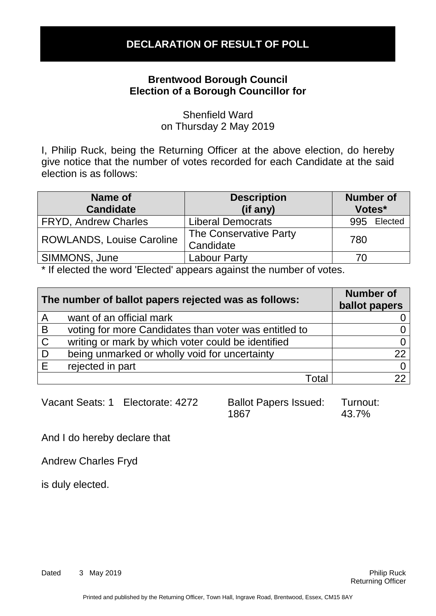### **Brentwood Borough Council Election of a Borough Councillor for**

Shenfield Ward on Thursday 2 May 2019

I, Philip Ruck, being the Returning Officer at the above election, do hereby give notice that the number of votes recorded for each Candidate at the said election is as follows:

| Name of<br><b>Candidate</b>      | <b>Description</b><br>(if any)      | <b>Number of</b><br>Votes* |
|----------------------------------|-------------------------------------|----------------------------|
| <b>FRYD, Andrew Charles</b>      | <b>Liberal Democrats</b>            | Elected<br>995             |
| <b>ROWLANDS, Louise Caroline</b> | The Conservative Party<br>Candidate | 780                        |
| SIMMONS, June                    | Labour Party                        | 70                         |
|                                  |                                     |                            |

\* If elected the word 'Elected' appears against the number of votes.

| The number of ballot papers rejected was as follows: |                                                       | <b>Number of</b><br>ballot papers |
|------------------------------------------------------|-------------------------------------------------------|-----------------------------------|
| $\overline{\mathsf{A}}$                              | want of an official mark                              |                                   |
| B                                                    | voting for more Candidates than voter was entitled to |                                   |
| $\mathsf C$                                          | writing or mark by which voter could be identified    |                                   |
| D                                                    | being unmarked or wholly void for uncertainty         | 22                                |
| Ε                                                    | rejected in part                                      |                                   |
|                                                      | Total                                                 |                                   |

Vacant Seats: 1 Electorate: 4272 Ballot Papers Issued:

1867 Turnout: 43.7%

And I do hereby declare that

Andrew Charles Fryd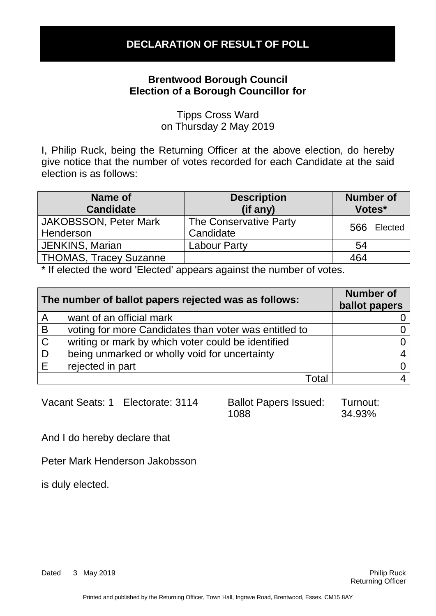### **Brentwood Borough Council Election of a Borough Councillor for**

Tipps Cross Ward on Thursday 2 May 2019

I, Philip Ruck, being the Returning Officer at the above election, do hereby give notice that the number of votes recorded for each Candidate at the said election is as follows:

| Name of<br><b>Candidate</b>               | <b>Description</b><br>(if any)      | <b>Number of</b><br>Votes* |             |
|-------------------------------------------|-------------------------------------|----------------------------|-------------|
| <b>JAKOBSSON, Peter Mark</b><br>Henderson | The Conservative Party<br>Candidate |                            | 566 Elected |
| <b>JENKINS, Marian</b>                    | <b>Labour Party</b>                 | 54                         |             |
| <b>THOMAS, Tracey Suzanne</b>             |                                     | 464                        |             |

\* If elected the word 'Elected' appears against the number of votes.

| The number of ballot papers rejected was as follows: |                                                       | <b>Number of</b><br>ballot papers |
|------------------------------------------------------|-------------------------------------------------------|-----------------------------------|
| $\overline{A}$                                       | want of an official mark                              |                                   |
| B                                                    | voting for more Candidates than voter was entitled to |                                   |
| $\mathsf C$                                          | writing or mark by which voter could be identified    |                                   |
| D                                                    | being unmarked or wholly void for uncertainty         |                                   |
| E                                                    | rejected in part                                      |                                   |
|                                                      | Total                                                 |                                   |

Vacant Seats: 1 Electorate: 3114 Ballot Papers Issued:

1088 Turnout: 34.93%

And I do hereby declare that

Peter Mark Henderson Jakobsson

is duly elected.